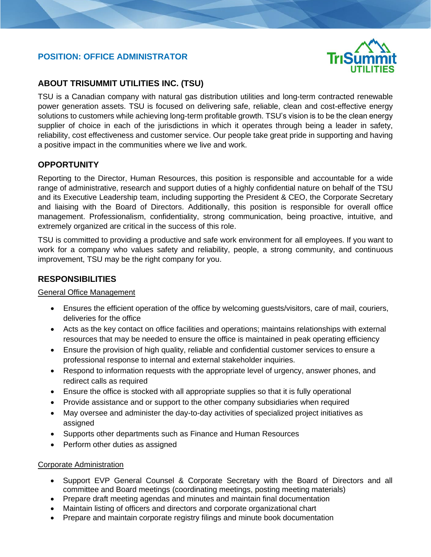### **POSITION: OFFICE ADMINISTRATOR**



### **ABOUT TRISUMMIT UTILITIES INC. (TSU)**

TSU is a Canadian company with natural gas distribution utilities and long-term contracted renewable power generation assets. TSU is focused on delivering safe, reliable, clean and cost-effective energy solutions to customers while achieving long-term profitable growth. TSU's vision is to be the clean energy supplier of choice in each of the jurisdictions in which it operates through being a leader in safety, reliability, cost effectiveness and customer service. Our people take great pride in supporting and having a positive impact in the communities where we live and work.

#### **OPPORTUNITY**

I

Reporting to the Director, Human Resources, this position is responsible and accountable for a wide range of administrative, research and support duties of a highly confidential nature on behalf of the TSU and its Executive Leadership team, including supporting the President & CEO, the Corporate Secretary and liaising with the Board of Directors. Additionally, this position is responsible for overall office management. Professionalism, confidentiality, strong communication, being proactive, intuitive, and extremely organized are critical in the success of this role.

TSU is committed to providing a productive and safe work environment for all employees. If you want to work for a company who values safety and reliability, people, a strong community, and continuous improvement, TSU may be the right company for you.

#### **RESPONSIBILITIES**

#### General Office Management

- Ensures the efficient operation of the office by welcoming guests/visitors, care of mail, couriers, deliveries for the office
- Acts as the key contact on office facilities and operations; maintains relationships with external resources that may be needed to ensure the office is maintained in peak operating efficiency
- Ensure the provision of high quality, reliable and confidential customer services to ensure a professional response to internal and external stakeholder inquiries.
- Respond to information requests with the appropriate level of urgency, answer phones, and redirect calls as required
- Ensure the office is stocked with all appropriate supplies so that it is fully operational
- Provide assistance and or support to the other company subsidiaries when required
- May oversee and administer the day-to-day activities of specialized project initiatives as assigned
- Supports other departments such as Finance and Human Resources
- Perform other duties as assigned

#### Corporate Administration

- Support EVP General Counsel & Corporate Secretary with the Board of Directors and all committee and Board meetings (coordinating meetings, posting meeting materials)
- Prepare draft meeting agendas and minutes and maintain final documentation
- Maintain listing of officers and directors and corporate organizational chart
- Prepare and maintain corporate registry filings and minute book documentation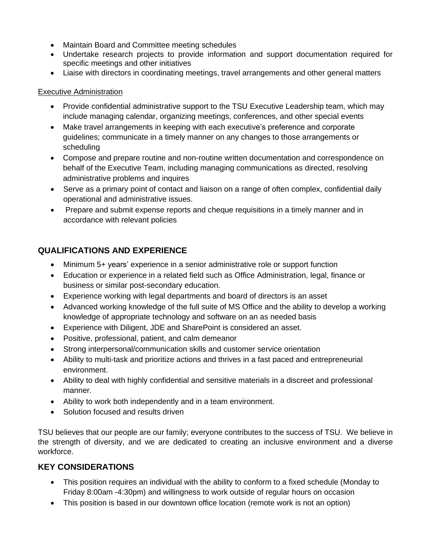- Maintain Board and Committee meeting schedules
- Undertake research projects to provide information and support documentation required for specific meetings and other initiatives
- Liaise with directors in coordinating meetings, travel arrangements and other general matters

### Executive Administration

- Provide confidential administrative support to the TSU Executive Leadership team, which may include managing calendar, organizing meetings, conferences, and other special events
- Make travel arrangements in keeping with each executive's preference and corporate guidelines; communicate in a timely manner on any changes to those arrangements or scheduling
- Compose and prepare routine and non-routine written documentation and correspondence on behalf of the Executive Team, including managing communications as directed, resolving administrative problems and inquires
- Serve as a primary point of contact and liaison on a range of often complex, confidential daily operational and administrative issues.
- Prepare and submit expense reports and cheque requisitions in a timely manner and in accordance with relevant policies

# **QUALIFICATIONS AND EXPERIENCE**

- Minimum 5+ years' experience in a senior administrative role or support function
- Education or experience in a related field such as Office Administration, legal, finance or business or similar post-secondary education.
- Experience working with legal departments and board of directors is an asset
- Advanced working knowledge of the full suite of MS Office and the ability to develop a working knowledge of appropriate technology and software on an as needed basis
- Experience with Diligent, JDE and SharePoint is considered an asset.
- Positive, professional, patient, and calm demeanor
- Strong interpersonal/communication skills and customer service orientation
- Ability to multi-task and prioritize actions and thrives in a fast paced and entrepreneurial environment.
- Ability to deal with highly confidential and sensitive materials in a discreet and professional manner.
- Ability to work both independently and in a team environment.
- Solution focused and results driven

TSU believes that our people are our family; everyone contributes to the success of TSU. We believe in the strength of diversity, and we are dedicated to creating an inclusive environment and a diverse workforce.

# **KEY CONSIDERATIONS**

- This position requires an individual with the ability to conform to a fixed schedule (Monday to Friday 8:00am -4:30pm) and willingness to work outside of regular hours on occasion
- This position is based in our downtown office location (remote work is not an option)